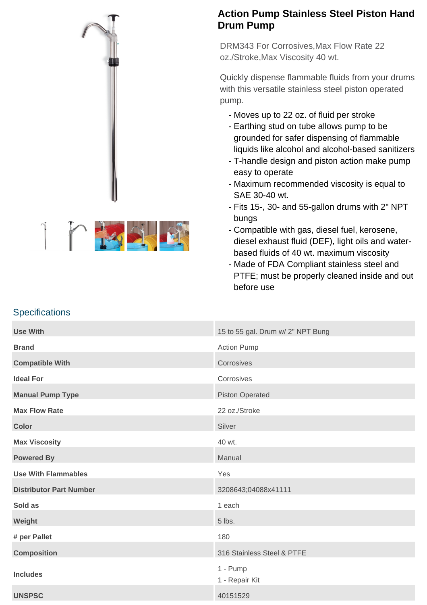



## **Action Pump Stainless Steel Piston Hand Drum Pump**

DRM343 For Corrosives,Max Flow Rate 22 oz./Stroke,Max Viscosity 40 wt.

Quickly dispense flammable fluids from your drums with this versatile stainless steel piston operated pump.

- Moves up to 22 oz. of fluid per stroke
- Earthing stud on tube allows pump to be grounded for safer dispensing of flammable liquids like alcohol and alcohol-based sanitizers
- T-handle design and piston action make pump easy to operate
- Maximum recommended viscosity is equal to SAE 30-40 wt.
- Fits 15-, 30- and 55-gallon drums with 2" NPT bungs
- Compatible with gas, diesel fuel, kerosene, diesel exhaust fluid (DEF), light oils and waterbased fluids of 40 wt. maximum viscosity
- Made of FDA Compliant stainless steel and PTFE; must be properly cleaned inside and out before use

## **Specifications**

| <b>Use With</b>                | 15 to 55 gal. Drum w/ 2" NPT Bung |
|--------------------------------|-----------------------------------|
| <b>Brand</b>                   | <b>Action Pump</b>                |
| <b>Compatible With</b>         | Corrosives                        |
| <b>Ideal For</b>               | Corrosives                        |
| <b>Manual Pump Type</b>        | <b>Piston Operated</b>            |
| <b>Max Flow Rate</b>           | 22 oz./Stroke                     |
| <b>Color</b>                   | Silver                            |
| <b>Max Viscosity</b>           | 40 wt.                            |
| <b>Powered By</b>              | Manual                            |
| <b>Use With Flammables</b>     | Yes                               |
| <b>Distributor Part Number</b> | 3208643;04088x41111               |
| Sold as                        | 1 each                            |
| Weight                         | 5 lbs.                            |
| # per Pallet                   | 180                               |
| <b>Composition</b>             | 316 Stainless Steel & PTFE        |
| <b>Includes</b>                | 1 - Pump<br>1 - Repair Kit        |
| <b>UNSPSC</b>                  | 40151529                          |